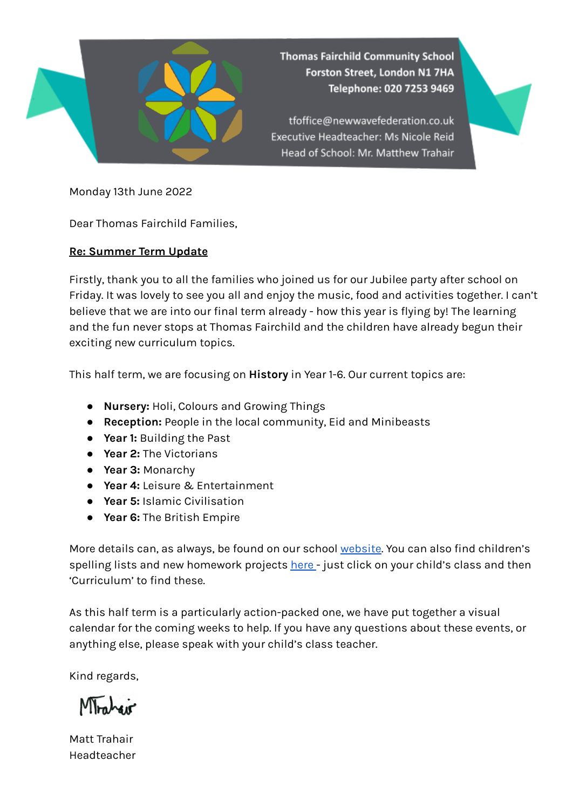

**Thomas Fairchild Community School** Forston Street, London N1 7HA Telephone: 020 7253 9469

tfoffice@newwavefederation.co.uk Executive Headteacher: Ms Nicole Reid Head of School: Mr. Matthew Trahair



Monday 13th June 2022

Dear Thomas Fairchild Families,

## **Re: Summer Term Update**

Firstly, thank you to all the families who joined us for our Jubilee party after school on Friday. It was lovely to see you all and enjoy the music, food and activities together. I can't believe that we are into our final term already - how this year is flying by! The learning and the fun never stops at Thomas Fairchild and the children have already begun their exciting new curriculum topics.

This half term, we are focusing on **History** in Year 1-6. Our current topics are:

- **Nursery:** Holi, Colours and Growing Things
- **Reception:** People in the local community, Eid and Minibeasts
- **Year 1:** Building the Past
- **Year 2:** The Victorians
- **Year 3:** Monarchy
- **Year 4:** Leisure & Entertainment
- **Year 5:** Islamic Civilisation
- **Year 6:** The British Empire

More details can, as always, be found on our school [website.](https://www.thomasfairchild.hackney.sch.uk/) You can also find children's spelling lists and new homework projects [here](https://www.thomasfairchild.hackney.sch.uk/page/?title=Classes&pid=9) - just click on your child's class and then 'Curriculum' to find these.

As this half term is a particularly action-packed one, we have put together a visual calendar for the coming weeks to help. If you have any questions about these events, or anything else, please speak with your child's class teacher.

Kind regards,

Montreir

Matt Trahair Headteacher